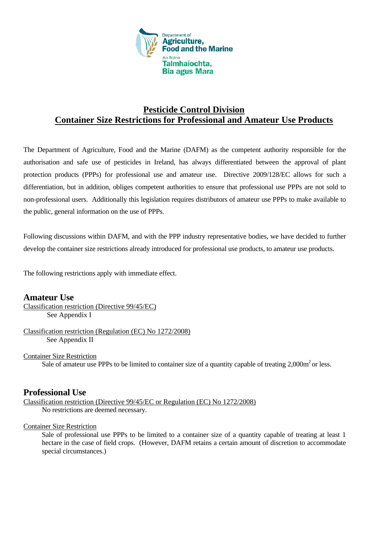

### **Pesticide Control Division Container Size Restrictions for Professional and Amateur Use Products**

The Department of Agriculture, Food and the Marine (DAFM) as the competent authority responsible for the authorisation and safe use of pesticides in Ireland, has always differentiated between the approval of plant protection products (PPPs) for professional use and amateur use. Directive 2009/128/EC allows for such a differentiation, but in addition, obliges competent authorities to ensure that professional use PPPs are not sold to non-professional users. Additionally this legislation requires distributors of amateur use PPPs to make available to the public, general information on the use of PPPs.

Following discussions within DAFM, and with the PPP industry representative bodies, we have decided to further develop the container size restrictions already introduced for professional use products, to amateur use products.

The following restrictions apply with immediate effect.

#### **Amateur Use**

Classification restriction (Directive 99/45/EC) See Appendix I

Classification restriction (Regulation (EC) No 1272/2008) See Appendix II

Container Size Restriction Sale of amateur use PPPs to be limited to container size of a quantity capable of treating  $2,000m^2$  or less.

#### **Professional Use**

Classification restriction (Directive 99/45/EC or Regulation (EC) No 1272/2008) No restrictions are deemed necessary.

Container Size Restriction

Sale of professional use PPPs to be limited to a container size of a quantity capable of treating at least 1 hectare in the case of field crops. (However, DAFM retains a certain amount of discretion to accommodate special circumstances.)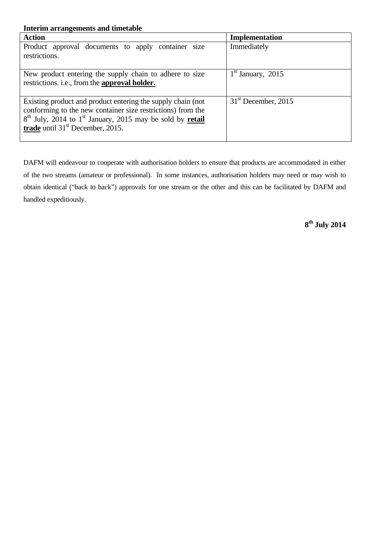| <b>Interim arrangements and timetable</b>                                                                                                                                                                                                          |                       |  |  |  |
|----------------------------------------------------------------------------------------------------------------------------------------------------------------------------------------------------------------------------------------------------|-----------------------|--|--|--|
| <b>Action</b>                                                                                                                                                                                                                                      | Implementation        |  |  |  |
| Product approval documents to apply container size<br>restrictions.                                                                                                                                                                                | Immediately           |  |  |  |
| New product entering the supply chain to adhere to size<br>restrictions. i.e., from the approval holder.                                                                                                                                           | $1st$ January, 2015   |  |  |  |
| Existing product and product entering the supply chain (not<br>conforming to the new container size restrictions) from the<br>$8th$ July, 2014 to 1 <sup>st</sup> January, 2015 may be sold by <b>retail</b><br>trade until $31st$ December, 2015. | $31st$ December, 2015 |  |  |  |

DAFM will endeavour to cooperate with authorisation holders to ensure that products are accommodated in either of the two streams (amateur or professional). In some instances, authorisation holders may need or may wish to obtain identical ("back to back") approvals for one stream or the other and this can be facilitated by DAFM and handled expeditiously.

**8th July 2014**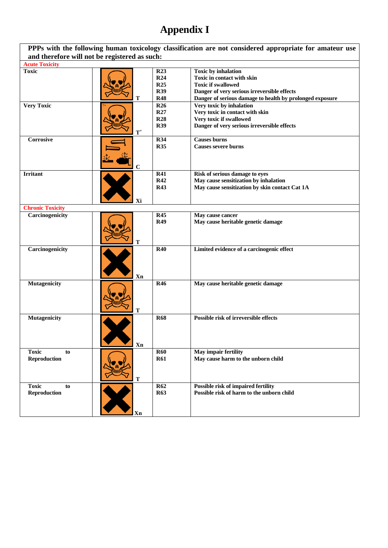# **Appendix I**

| PPPs with the following human toxicology classification are not considered appropriate for amateur use<br>and therefore will not be registered as such: |                     |                                                                         |                                                                                                                                                                                                   |  |
|---------------------------------------------------------------------------------------------------------------------------------------------------------|---------------------|-------------------------------------------------------------------------|---------------------------------------------------------------------------------------------------------------------------------------------------------------------------------------------------|--|
| <b>Acute Toxicity</b>                                                                                                                                   |                     |                                                                         |                                                                                                                                                                                                   |  |
| <b>Toxic</b>                                                                                                                                            |                     | R <sub>23</sub><br><b>R24</b><br><b>R25</b><br><b>R39</b><br><b>R48</b> | <b>Toxic by inhalation</b><br>Toxic in contact with skin<br><b>Toxic if swallowed</b><br>Danger of very serious irreversible effects                                                              |  |
| <b>Very Toxic</b>                                                                                                                                       | т<br>$\mathbf{T}^+$ | <b>R26</b><br>R27<br><b>R28</b><br><b>R39</b>                           | Danger of serious damage to health by prolonged exposure<br>Very toxic by inhalation<br>Very toxic in contact with skin<br>Very toxic if swallowed<br>Danger of very serious irreversible effects |  |
| Corrosive                                                                                                                                               | C                   | <b>R34</b><br><b>R35</b>                                                | <b>Causes burns</b><br><b>Causes severe burns</b>                                                                                                                                                 |  |
| <b>Irritant</b>                                                                                                                                         | Xi                  | <b>R41</b><br><b>R42</b><br><b>R43</b>                                  | Risk of serious damage to eyes<br>May cause sensitization by inhalation<br>May cause sensitization by skin contact Cat 1A                                                                         |  |
| <b>Chronic Toxicity</b>                                                                                                                                 |                     |                                                                         |                                                                                                                                                                                                   |  |
| Carcinogenicity                                                                                                                                         | т                   | <b>R45</b><br><b>R49</b>                                                | May cause cancer<br>May cause heritable genetic damage                                                                                                                                            |  |
| Carcinogenicity                                                                                                                                         | Xn                  | <b>R40</b>                                                              | Limited evidence of a carcinogenic effect                                                                                                                                                         |  |
| <b>Mutagenicity</b>                                                                                                                                     | т                   | <b>R46</b>                                                              | May cause heritable genetic damage                                                                                                                                                                |  |
| <b>Mutagenicity</b>                                                                                                                                     | Xn                  | <b>R68</b>                                                              | Possible risk of irreversible effects                                                                                                                                                             |  |
| <b>Toxic</b><br>to<br><b>Reproduction</b>                                                                                                               | T                   | <b>R60</b><br><b>R61</b>                                                | May impair fertility<br>May cause harm to the unborn child                                                                                                                                        |  |
| <b>Toxic</b><br>to<br><b>Reproduction</b>                                                                                                               | Xn                  | <b>R62</b><br><b>R63</b>                                                | Possible risk of impaired fertility<br>Possible risk of harm to the unborn child                                                                                                                  |  |